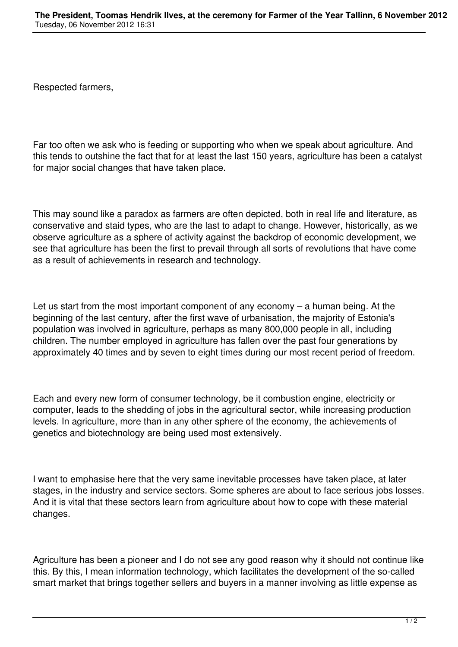Respected farmers,

Far too often we ask who is feeding or supporting who when we speak about agriculture. And this tends to outshine the fact that for at least the last 150 years, agriculture has been a catalyst for major social changes that have taken place.

This may sound like a paradox as farmers are often depicted, both in real life and literature, as conservative and staid types, who are the last to adapt to change. However, historically, as we observe agriculture as a sphere of activity against the backdrop of economic development, we see that agriculture has been the first to prevail through all sorts of revolutions that have come as a result of achievements in research and technology.

Let us start from the most important component of any economy – a human being. At the beginning of the last century, after the first wave of urbanisation, the majority of Estonia's population was involved in agriculture, perhaps as many 800,000 people in all, including children. The number employed in agriculture has fallen over the past four generations by approximately 40 times and by seven to eight times during our most recent period of freedom.

Each and every new form of consumer technology, be it combustion engine, electricity or computer, leads to the shedding of jobs in the agricultural sector, while increasing production levels. In agriculture, more than in any other sphere of the economy, the achievements of genetics and biotechnology are being used most extensively.

I want to emphasise here that the very same inevitable processes have taken place, at later stages, in the industry and service sectors. Some spheres are about to face serious jobs losses. And it is vital that these sectors learn from agriculture about how to cope with these material changes.

Agriculture has been a pioneer and I do not see any good reason why it should not continue like this. By this, I mean information technology, which facilitates the development of the so-called smart market that brings together sellers and buyers in a manner involving as little expense as